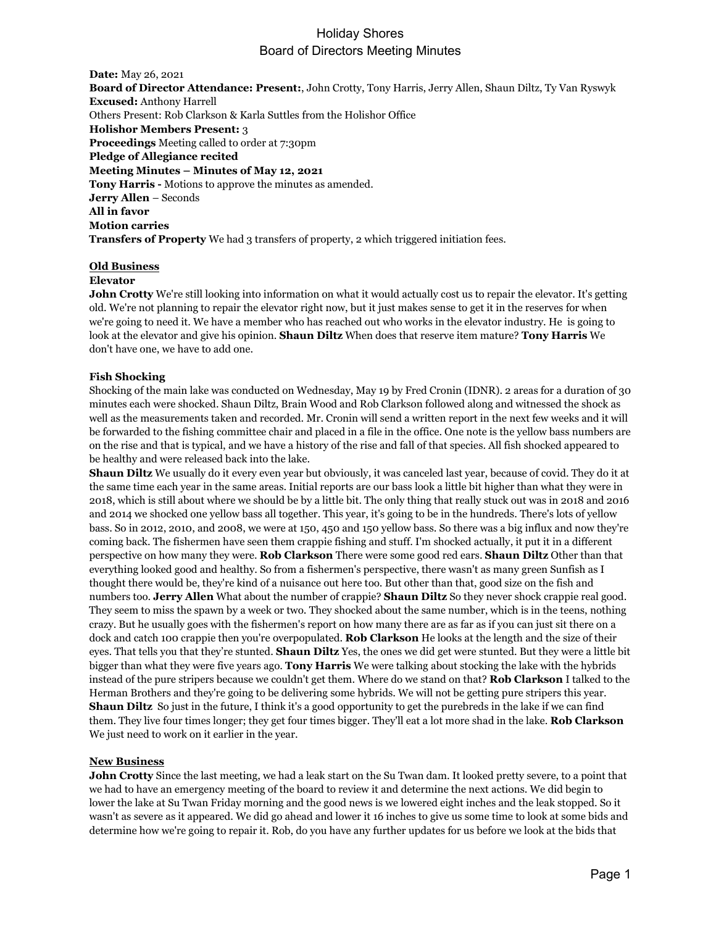## Holiday Shores Board of Directors Meeting Minutes

**Date:** May 26, 2021 **Board of Director Attendance: Present:**, John Crotty, Tony Harris, Jerry Allen, Shaun Diltz, Ty Van Ryswyk **Excused:** Anthony Harrell Others Present: Rob Clarkson & Karla Suttles from the Holishor Office **Holishor Members Present:** 3 **Proceedings** Meeting called to order at 7:30pm **Pledge of Allegiance recited Meeting Minutes – Minutes of May 12, 2021 Tony Harris -** Motions to approve the minutes as amended. **Jerry Allen** – Seconds **All in favor Motion carries Transfers of Property** We had 3 transfers of property, 2 which triggered initiation fees.

#### **Old Business**

#### **Elevator**

**John Crotty** We're still looking into information on what it would actually cost us to repair the elevator. It's getting old. We're not planning to repair the elevator right now, but it just makes sense to get it in the reserves for when we're going to need it. We have a member who has reached out who works in the elevator industry. He is going to look at the elevator and give his opinion. **Shaun Diltz** When does that reserve item mature? **Tony Harris** We don't have one, we have to add one.

#### **Fish Shocking**

Shocking of the main lake was conducted on Wednesday, May 19 by Fred Cronin (IDNR). 2 areas for a duration of 30 minutes each were shocked. Shaun Diltz, Brain Wood and Rob Clarkson followed along and witnessed the shock as well as the measurements taken and recorded. Mr. Cronin will send a written report in the next few weeks and it will be forwarded to the fishing committee chair and placed in a file in the office. One note is the yellow bass numbers are on the rise and that is typical, and we have a history of the rise and fall of that species. All fish shocked appeared to be healthy and were released back into the lake.

**Shaun Diltz** We usually do it every even year but obviously, it was canceled last year, because of covid. They do it at the same time each year in the same areas. Initial reports are our bass look a little bit higher than what they were in 2018, which is still about where we should be by a little bit. The only thing that really stuck out was in 2018 and 2016 and 2014 we shocked one yellow bass all together. This year, it's going to be in the hundreds. There's lots of yellow bass. So in 2012, 2010, and 2008, we were at 150, 450 and 150 yellow bass. So there was a big influx and now they're coming back. The fishermen have seen them crappie fishing and stuff. I'm shocked actually, it put it in a different perspective on how many they were. **Rob Clarkson** There were some good red ears. **Shaun Diltz** Other than that everything looked good and healthy. So from a fishermen's perspective, there wasn't as many green Sunfish as I thought there would be, they're kind of a nuisance out here too. But other than that, good size on the fish and numbers too. **Jerry Allen** What about the number of crappie? **Shaun Diltz** So they never shock crappie real good. They seem to miss the spawn by a week or two. They shocked about the same number, which is in the teens, nothing crazy. But he usually goes with the fishermen's report on how many there are as far as if you can just sit there on a dock and catch 100 crappie then you're overpopulated. **Rob Clarkson** He looks at the length and the size of their eyes. That tells you that they're stunted. **Shaun Diltz** Yes, the ones we did get were stunted. But they were a little bit bigger than what they were five years ago. **Tony Harris** We were talking about stocking the lake with the hybrids instead of the pure stripers because we couldn't get them. Where do we stand on that? **Rob Clarkson** I talked to the Herman Brothers and they're going to be delivering some hybrids. We will not be getting pure stripers this year. **Shaun Diltz** So just in the future, I think it's a good opportunity to get the purebreds in the lake if we can find them. They live four times longer; they get four times bigger. They'll eat a lot more shad in the lake. **Rob Clarkson** We just need to work on it earlier in the year.

#### **New Business**

**John Crotty** Since the last meeting, we had a leak start on the Su Twan dam. It looked pretty severe, to a point that we had to have an emergency meeting of the board to review it and determine the next actions. We did begin to lower the lake at Su Twan Friday morning and the good news is we lowered eight inches and the leak stopped. So it wasn't as severe as it appeared. We did go ahead and lower it 16 inches to give us some time to look at some bids and determine how we're going to repair it. Rob, do you have any further updates for us before we look at the bids that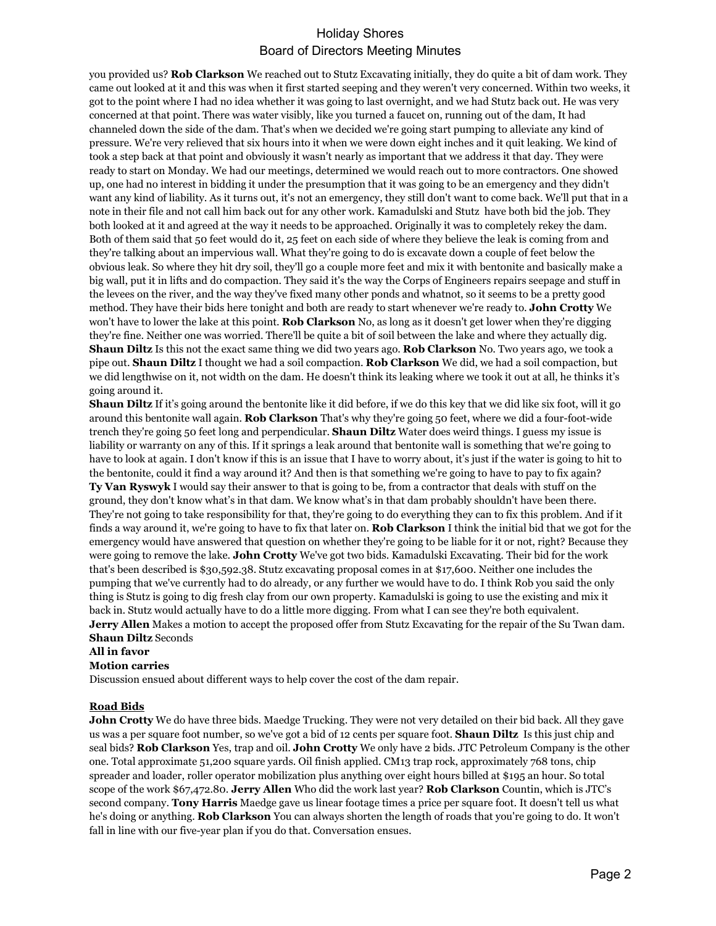# Holiday Shores Board of Directors Meeting Minutes

you provided us? **Rob Clarkson** We reached out to Stutz Excavating initially, they do quite a bit of dam work. They came out looked at it and this was when it first started seeping and they weren't very concerned. Within two weeks, it got to the point where I had no idea whether it was going to last overnight, and we had Stutz back out. He was very concerned at that point. There was water visibly, like you turned a faucet on, running out of the dam, It had channeled down the side of the dam. That's when we decided we're going start pumping to alleviate any kind of pressure. We're very relieved that six hours into it when we were down eight inches and it quit leaking. We kind of took a step back at that point and obviously it wasn't nearly as important that we address it that day. They were ready to start on Monday. We had our meetings, determined we would reach out to more contractors. One showed up, one had no interest in bidding it under the presumption that it was going to be an emergency and they didn't want any kind of liability. As it turns out, it's not an emergency, they still don't want to come back. We'll put that in a note in their file and not call him back out for any other work. Kamadulski and Stutz have both bid the job. They both looked at it and agreed at the way it needs to be approached. Originally it was to completely rekey the dam. Both of them said that 50 feet would do it, 25 feet on each side of where they believe the leak is coming from and they're talking about an impervious wall. What they're going to do is excavate down a couple of feet below the obvious leak. So where they hit dry soil, they'll go a couple more feet and mix it with bentonite and basically make a big wall, put it in lifts and do compaction. They said it's the way the Corps of Engineers repairs seepage and stuff in the levees on the river, and the way they've fixed many other ponds and whatnot, so it seems to be a pretty good method. They have their bids here tonight and both are ready to start whenever we're ready to. **John Crotty** We won't have to lower the lake at this point. **Rob Clarkson** No, as long as it doesn't get lower when they're digging they're fine. Neither one was worried. There'll be quite a bit of soil between the lake and where they actually dig. **Shaun Diltz** Is this not the exact same thing we did two years ago. **Rob Clarkson** No. Two years ago, we took a pipe out. **Shaun Diltz** I thought we had a soil compaction. **Rob Clarkson** We did, we had a soil compaction, but we did lengthwise on it, not width on the dam. He doesn't think its leaking where we took it out at all, he thinks it's going around it.

**Shaun Diltz** If it's going around the bentonite like it did before, if we do this key that we did like six foot, will it go around this bentonite wall again. **Rob Clarkson** That's why they're going 50 feet, where we did a four-foot-wide trench they're going 50 feet long and perpendicular. **Shaun Diltz** Water does weird things. I guess my issue is liability or warranty on any of this. If it springs a leak around that bentonite wall is something that we're going to have to look at again. I don't know if this is an issue that I have to worry about, it's just if the water is going to hit to the bentonite, could it find a way around it? And then is that something we're going to have to pay to fix again? **Ty Van Ryswyk** I would say their answer to that is going to be, from a contractor that deals with stuff on the ground, they don't know what's in that dam. We know what's in that dam probably shouldn't have been there. They're not going to take responsibility for that, they're going to do everything they can to fix this problem. And if it finds a way around it, we're going to have to fix that later on. **Rob Clarkson** I think the initial bid that we got for the emergency would have answered that question on whether they're going to be liable for it or not, right? Because they were going to remove the lake. **John Crotty** We've got two bids. Kamadulski Excavating. Their bid for the work that's been described is \$30,592.38. Stutz excavating proposal comes in at \$17,600. Neither one includes the pumping that we've currently had to do already, or any further we would have to do. I think Rob you said the only thing is Stutz is going to dig fresh clay from our own property. Kamadulski is going to use the existing and mix it back in. Stutz would actually have to do a little more digging. From what I can see they're both equivalent. **Jerry Allen** Makes a motion to accept the proposed offer from Stutz Excavating for the repair of the Su Twan dam. **Shaun Diltz** Seconds

#### **All in favor**

#### **Motion carries**

Discussion ensued about different ways to help cover the cost of the dam repair.

### **Road Bids**

**John Crotty** We do have three bids. Maedge Trucking. They were not very detailed on their bid back. All they gave us was a per square foot number, so we've got a bid of 12 cents per square foot. **Shaun Diltz** Is this just chip and seal bids? **Rob Clarkson** Yes, trap and oil. **John Crotty** We only have 2 bids. JTC Petroleum Company is the other one. Total approximate 51,200 square yards. Oil finish applied. CM13 trap rock, approximately 768 tons, chip spreader and loader, roller operator mobilization plus anything over eight hours billed at \$195 an hour. So total scope of the work \$67,472.80. **Jerry Allen** Who did the work last year? **Rob Clarkson** Countin, which is JTC's second company. **Tony Harris** Maedge gave us linear footage times a price per square foot. It doesn't tell us what he's doing or anything. **Rob Clarkson** You can always shorten the length of roads that you're going to do. It won't fall in line with our five-year plan if you do that. Conversation ensues.